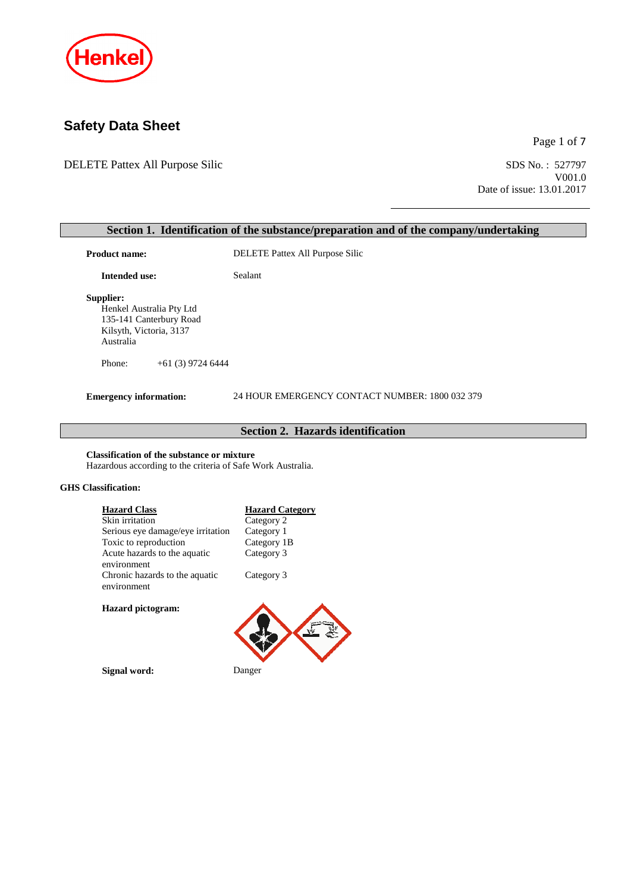

# **Safety Data Sheet**

DELETE Pattex All Purpose Silic SDS No.: 527797

Page 1 of 7

V001.0 Date of issue: 13.01.2017

# **Section 1. Identification of the substance/preparation and of the company/undertaking Product name:** DELETE Pattex All Purpose Silic **Intended use:** Sealant **Supplier:** Henkel Australia Pty Ltd 135-141 Canterbury Road Kilsyth, Victoria, 3137 Australia Phone: +61 (3) 9724 6444 **Emergency information:** 24 HOUR EMERGENCY CONTACT NUMBER: 1800 032 379 **Section 2. Hazards identification Classification of the substance or mixture** Hazardous according to the criteria of Safe Work Australia. **GHS Classification: Hazard Class**<br> **Hazard Category**<br> **Category** 2 Skin irritation Serious eye damage/eye irritation Category 1<br>Toxic to reproduction Category 1B Toxic to reproduction Acute hazards to the aquatic environment Category 3 Chronic hazards to the aquatic environment Category 3 **Hazard pictogram:**

**Signal word:** Danger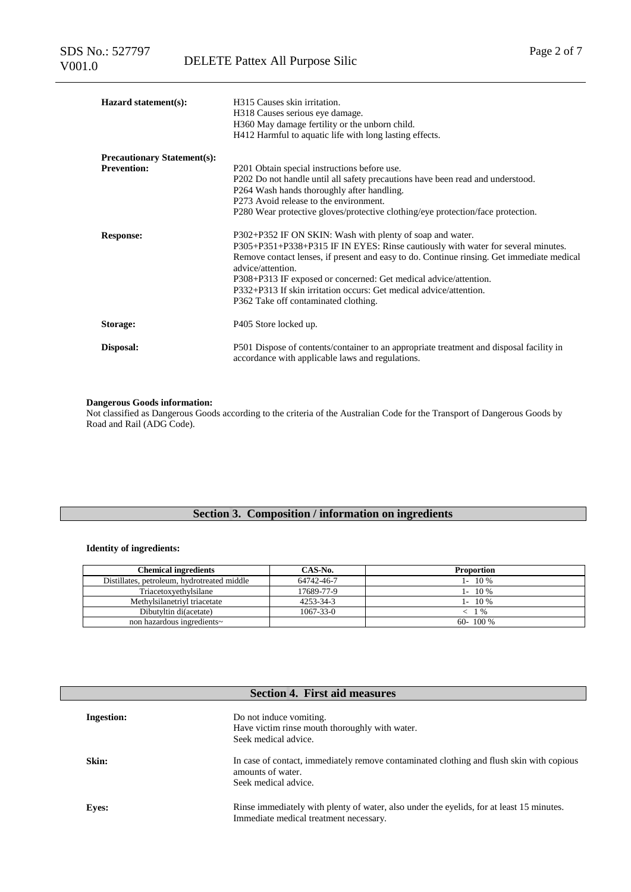| Hazard statement(s):               | H315 Causes skin irritation.<br>H318 Causes serious eye damage.<br>H360 May damage fertility or the unborn child.<br>H412 Harmful to aquatic life with long lasting effects. |
|------------------------------------|------------------------------------------------------------------------------------------------------------------------------------------------------------------------------|
| <b>Precautionary Statement(s):</b> |                                                                                                                                                                              |
| <b>Prevention:</b>                 | P201 Obtain special instructions before use.                                                                                                                                 |
|                                    | P202 Do not handle until all safety precautions have been read and understood.                                                                                               |
|                                    | P264 Wash hands thoroughly after handling.                                                                                                                                   |
|                                    | P273 Avoid release to the environment.                                                                                                                                       |
|                                    | P280 Wear protective gloves/protective clothing/eye protection/face protection.                                                                                              |
| <b>Response:</b>                   | P302+P352 IF ON SKIN: Wash with plenty of soap and water.                                                                                                                    |
|                                    | P305+P351+P338+P315 IF IN EYES: Rinse cautiously with water for several minutes.                                                                                             |
|                                    | Remove contact lenses, if present and easy to do. Continue ringing. Get immediate medical<br>advice/attention.                                                               |
|                                    | P308+P313 IF exposed or concerned: Get medical advice/attention.                                                                                                             |
|                                    | P332+P313 If skin irritation occurs: Get medical advice/attention.                                                                                                           |
|                                    | P362 Take off contaminated clothing.                                                                                                                                         |
| Storage:                           | P405 Store locked up.                                                                                                                                                        |
| Disposal:                          | P501 Dispose of contents/container to an appropriate treatment and disposal facility in<br>accordance with applicable laws and regulations.                                  |

#### **Dangerous Goods information:**

Not classified as Dangerous Goods according to the criteria of the Australian Code for the Transport of Dangerous Goods by Road and Rail (ADG Code).

## **Section 3. Composition / information on ingredients**

### **Identity of ingredients:**

| <b>Chemical ingredients</b>                 | CAS-No.         | <b>Proportion</b> |
|---------------------------------------------|-----------------|-------------------|
| Distillates, petroleum, hydrotreated middle | 64742-46-7      | $1 - 10\%$        |
| Triacetoxyethylsilane                       | 17689-77-9      | $1 - 10\%$        |
| Methylsilanetrivl triacetate                | 4253-34-3       | $1 - 10\%$        |
| Dibutyltin di(acetate)                      | $1067 - 33 - 0$ | 1 %               |
| non hazardous ingredients~                  |                 | $60 - 100\%$      |

| <b>Section 4. First aid measures</b> |                                                                                                                                       |  |  |  |
|--------------------------------------|---------------------------------------------------------------------------------------------------------------------------------------|--|--|--|
| <b>Ingestion:</b>                    | Do not induce vomiting.<br>Have victim rinse mouth thoroughly with water.<br>Seek medical advice.                                     |  |  |  |
| Skin:                                | In case of contact, immediately remove contaminated clothing and flush skin with copious<br>amounts of water.<br>Seek medical advice. |  |  |  |
| <b>Eyes:</b>                         | Rinse immediately with plenty of water, also under the eyelids, for at least 15 minutes.<br>Immediate medical treatment necessary.    |  |  |  |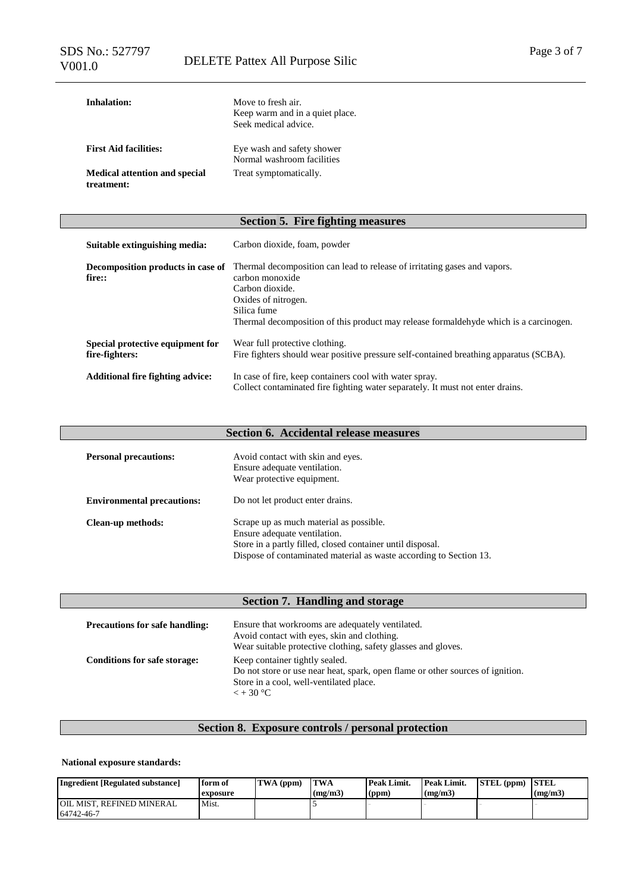| Inhalation:                                        | Move to fresh air.<br>Keep warm and in a quiet place.<br>Seek medical advice. |
|----------------------------------------------------|-------------------------------------------------------------------------------|
| <b>First Aid facilities:</b>                       | Eye wash and safety shower<br>Normal washroom facilities                      |
| <b>Medical attention and special</b><br>treatment: | Treat symptomatically.                                                        |

## **Section 5. Fire fighting measures**

| Suitable extinguishing media:                      | Carbon dioxide, foam, powder                                                                                                                                                                                                                    |
|----------------------------------------------------|-------------------------------------------------------------------------------------------------------------------------------------------------------------------------------------------------------------------------------------------------|
| Decomposition products in case of<br>fire::        | Thermal decomposition can lead to release of irritating gases and vapors.<br>carbon monoxide<br>Carbon dioxide.<br>Oxides of nitrogen.<br>Silica fume<br>Thermal decomposition of this product may release formal dehyde which is a carcinogen. |
| Special protective equipment for<br>fire-fighters: | Wear full protective clothing.<br>Fire fighters should wear positive pressure self-contained breathing apparatus (SCBA).                                                                                                                        |
| <b>Additional fire fighting advice:</b>            | In case of fire, keep containers cool with water spray.<br>Collect contaminated fire fighting water separately. It must not enter drains.                                                                                                       |

## **Section 6. Accidental release measures**

| <b>Personal precautions:</b>      | Avoid contact with skin and eyes.<br>Ensure adequate ventilation.<br>Wear protective equipment.                                                                                                             |
|-----------------------------------|-------------------------------------------------------------------------------------------------------------------------------------------------------------------------------------------------------------|
| <b>Environmental precautions:</b> | Do not let product enter drains.                                                                                                                                                                            |
| Clean-up methods:                 | Scrape up as much material as possible.<br>Ensure adequate ventilation.<br>Store in a partly filled, closed container until disposal.<br>Dispose of contaminated material as waste according to Section 13. |

| Section 7. Handling and storage       |                                                                                                                                                                                   |  |  |  |
|---------------------------------------|-----------------------------------------------------------------------------------------------------------------------------------------------------------------------------------|--|--|--|
| <b>Precautions for safe handling:</b> | Ensure that workrooms are adequately ventilated.<br>Avoid contact with eyes, skin and clothing.<br>Wear suitable protective clothing, safety glasses and gloves.                  |  |  |  |
| <b>Conditions for safe storage:</b>   | Keep container tightly sealed.<br>Do not store or use near heat, spark, open flame or other sources of ignition.<br>Store in a cool, well-ventilated place.<br>$\epsilon$ + 30 °C |  |  |  |

## **Section 8. Exposure controls / personal protection**

### **National exposure standards:**

| Ingredient [Regulated substance]                | form of<br>exposure | TWA (ppm) | <b>TWA</b><br>(mg/m3) | <b>Peak Limit.</b><br>(ppm) | Peak Limit.<br>(mg/m3) | STEL (ppm) | <b>STEL</b><br>(mg/m3) |
|-------------------------------------------------|---------------------|-----------|-----------------------|-----------------------------|------------------------|------------|------------------------|
| <b>JOIL MIST. REFINED MINERAL</b><br>64742-46-7 | Mist.               |           |                       |                             |                        |            |                        |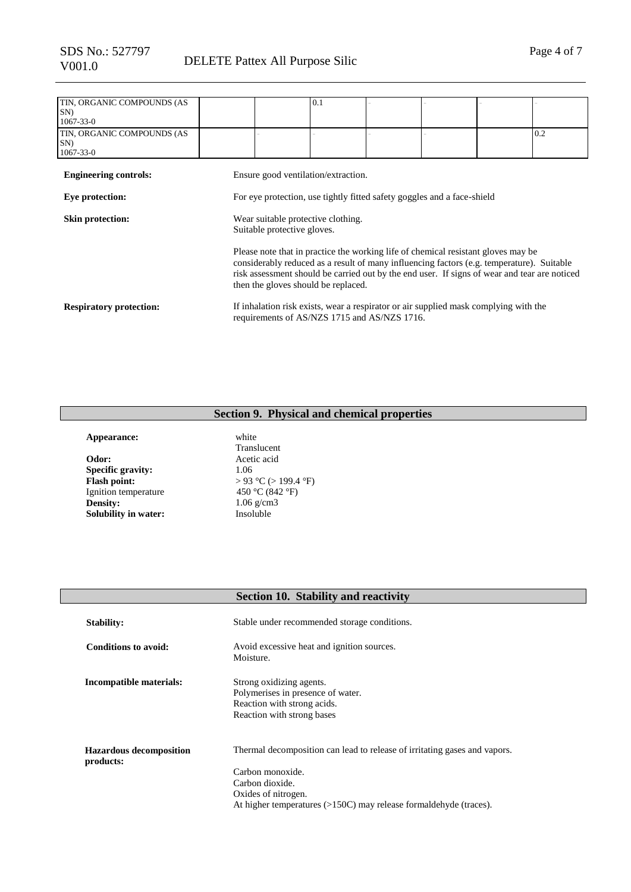| TIN, ORGANIC COMPOUNDS (AS     |                                                                         |                                              | 0.1 |  |  |                                                                                      |                                                                                                                                                                                           |
|--------------------------------|-------------------------------------------------------------------------|----------------------------------------------|-----|--|--|--------------------------------------------------------------------------------------|-------------------------------------------------------------------------------------------------------------------------------------------------------------------------------------------|
| $SN$ )                         |                                                                         |                                              |     |  |  |                                                                                      |                                                                                                                                                                                           |
| $1067 - 33 - 0$                |                                                                         |                                              |     |  |  |                                                                                      |                                                                                                                                                                                           |
| TIN, ORGANIC COMPOUNDS (AS     |                                                                         |                                              |     |  |  |                                                                                      | 0.2                                                                                                                                                                                       |
| SN)                            |                                                                         |                                              |     |  |  |                                                                                      |                                                                                                                                                                                           |
| $1067 - 33 - 0$                |                                                                         |                                              |     |  |  |                                                                                      |                                                                                                                                                                                           |
| <b>Engineering controls:</b>   |                                                                         | Ensure good ventilation/extraction.          |     |  |  |                                                                                      |                                                                                                                                                                                           |
| Eye protection:                | For eye protection, use tightly fitted safety goggles and a face-shield |                                              |     |  |  |                                                                                      |                                                                                                                                                                                           |
| Skin protection:               | Wear suitable protective clothing.<br>Suitable protective gloves.       |                                              |     |  |  |                                                                                      |                                                                                                                                                                                           |
|                                |                                                                         | then the gloves should be replaced.          |     |  |  | Please note that in practice the working life of chemical resistant gloves may be    | considerably reduced as a result of many influencing factors (e.g. temperature). Suitable<br>risk assessment should be carried out by the end user. If signs of wear and tear are noticed |
| <b>Respiratory protection:</b> |                                                                         | requirements of AS/NZS 1715 and AS/NZS 1716. |     |  |  | If inhalation risk exists, wear a respirator or air supplied mask complying with the |                                                                                                                                                                                           |

# **Section 9. Physical and chemical properties**

| Appearance:          | white                |
|----------------------|----------------------|
|                      | Translucent          |
| Odor:                | Acetic acid          |
| Specific gravity:    | 1.06                 |
| <b>Flash point:</b>  | > 93 °C (> 199.4 °F) |
| Ignition temperature | 450 °C (842 °F)      |
| Density:             | $1.06$ g/cm3         |
| Solubility in water: | Insoluble            |
|                      |                      |

|                                             | <b>Section 10. Stability and reactivity</b>                                                                                |
|---------------------------------------------|----------------------------------------------------------------------------------------------------------------------------|
| <b>Stability:</b>                           | Stable under recommended storage conditions.                                                                               |
| Conditions to avoid:                        | Avoid excessive heat and ignition sources.<br>Moisture.                                                                    |
| Incompatible materials:                     | Strong oxidizing agents.<br>Polymerises in presence of water.<br>Reaction with strong acids.<br>Reaction with strong bases |
| <b>Hazardous decomposition</b><br>products: | Thermal decomposition can lead to release of irritating gases and vapors.<br>Carbon monoxide.                              |
|                                             | Carbon dioxide.<br>Oxides of nitrogen.<br>At higher temperatures (>150C) may release formaldehyde (traces).                |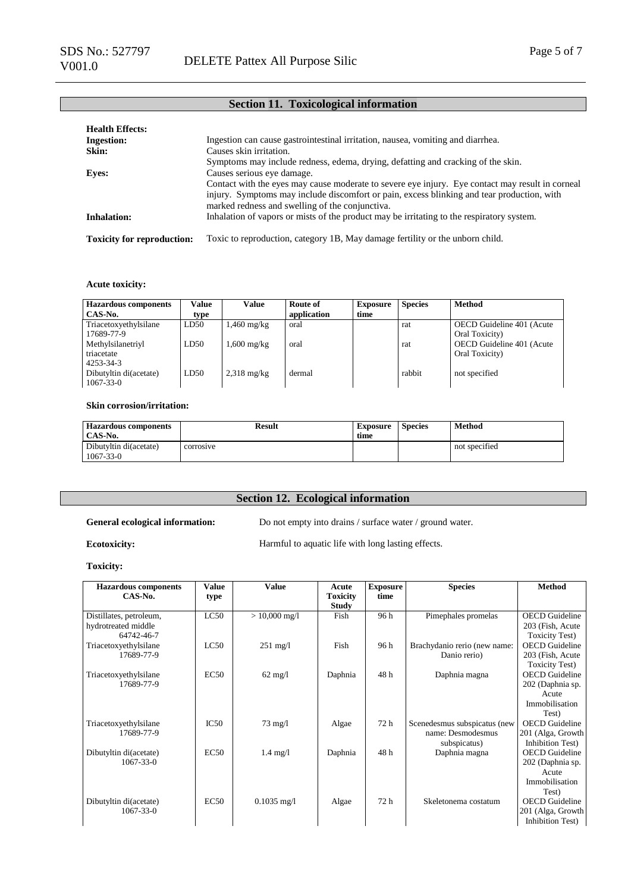## **Section 11. Toxicological information**

| <b>Health Effects:</b>            |                                                                                                                                                                                                                                                   |
|-----------------------------------|---------------------------------------------------------------------------------------------------------------------------------------------------------------------------------------------------------------------------------------------------|
| <b>Ingestion:</b>                 | Ingestion can cause gastrointestinal irritation, nausea, vomiting and diarrhea.                                                                                                                                                                   |
| Skin:                             | Causes skin irritation.                                                                                                                                                                                                                           |
|                                   | Symptoms may include redness, edema, drying, defatting and cracking of the skin.                                                                                                                                                                  |
| <b>Eves:</b>                      | Causes serious eye damage.                                                                                                                                                                                                                        |
|                                   | Contact with the eyes may cause moderate to severe eye injury. Eye contact may result in corneal<br>injury. Symptoms may include discomfort or pain, excess blinking and tear production, with<br>marked redness and swelling of the conjunctiva. |
| <b>Inhalation:</b>                | Inhalation of vapors or mists of the product may be irritating to the respiratory system.                                                                                                                                                         |
| <b>Toxicity for reproduction:</b> | Toxic to reproduction, category 1B, May damage fertility or the unborn child.                                                                                                                                                                     |

#### **Acute toxicity:**

| <b>Hazardous components</b><br>CAS-No.                 | Value<br>type | Value                 | Route of<br>application | <b>Exposure</b><br>time | <b>Species</b> | <b>Method</b>                               |
|--------------------------------------------------------|---------------|-----------------------|-------------------------|-------------------------|----------------|---------------------------------------------|
| Triacetoxyethylsilane<br>17689-77-9                    | LD50          | 1,460 mg/kg           | oral                    |                         | rat            | OECD Guideline 401 (Acute<br>Oral Toxicity) |
| Methylsilanetriyl<br>triacetate                        | LD50          | 1,600 mg/kg           | oral                    |                         | rat            | OECD Guideline 401 (Acute<br>Oral Toxicity) |
| 4253-34-3<br>Dibutyltin di(acetate)<br>$1067 - 33 - 0$ | LD50          | $2,318 \text{ mg/kg}$ | dermal                  |                         | rabbit         | not specified                               |

#### **Skin corrosion/irritation:**

| <b>Hazardous components</b><br>CAS-No.    | Result    | Exposure<br>time | <b>Species</b> | <b>Method</b> |
|-------------------------------------------|-----------|------------------|----------------|---------------|
| Dibutyltin di(acetate)<br>$1067 - 33 - 0$ | corrosive |                  |                | not specified |

## **Section 12. Ecological information**

#### General ecological information: Do not empty into drains / surface water / ground water.

**Ecotoxicity:** Harmful to aquatic life with long lasting effects.

#### **Toxicity:**

| <b>Hazardous</b> components | <b>Value</b> | <b>Value</b>       | Acute           | <b>Exposure</b> | <b>Species</b>               | <b>Method</b>          |
|-----------------------------|--------------|--------------------|-----------------|-----------------|------------------------------|------------------------|
| CAS-No.                     | type         |                    | <b>Toxicity</b> | time            |                              |                        |
|                             |              |                    | <b>Study</b>    |                 |                              |                        |
| Distillates, petroleum,     | LC50         | $> 10,000$ mg/l    | Fish            | 96 h            | Pimephales promelas          | <b>OECD</b> Guideline  |
| hydrotreated middle         |              |                    |                 |                 |                              | 203 (Fish, Acute)      |
| 64742-46-7                  |              |                    |                 |                 |                              | <b>Toxicity Test</b> ) |
| Triacetoxyethylsilane       | LC50         | $251 \text{ mg}/1$ | Fish            | 96 h            | Brachydanio rerio (new name: | <b>OECD</b> Guideline  |
| 17689-77-9                  |              |                    |                 |                 | Danio rerio)                 | 203 (Fish, Acute       |
|                             |              |                    |                 |                 |                              | <b>Toxicity Test</b> ) |
| Triacetoxyethylsilane       | EC50         | $62 \text{ mg/l}$  | Daphnia         | 48h             | Daphnia magna                | <b>OECD</b> Guideline  |
| 17689-77-9                  |              |                    |                 |                 |                              | 202 (Daphnia sp.       |
|                             |              |                    |                 |                 |                              | Acute                  |
|                             |              |                    |                 |                 |                              | Immobilisation         |
|                             |              |                    |                 |                 |                              | Test)                  |
| Triacetoxyethylsilane       | IC50         | $73 \text{ mg}/l$  | Algae           | 72 h            | Scenedesmus subspicatus (new | <b>OECD</b> Guideline  |
| 17689-77-9                  |              |                    |                 |                 | name: Desmodesmus            | 201 (Alga, Growth      |
|                             |              |                    |                 |                 | subspicatus)                 | Inhibition Test)       |
| Dibutyltin di(acetate)      | EC50         | $1.4 \text{ mg}/l$ | Daphnia         | 48h             | Daphnia magna                | <b>OECD</b> Guideline  |
| $1067 - 33 - 0$             |              |                    |                 |                 |                              | 202 (Daphnia sp.       |
|                             |              |                    |                 |                 |                              | Acute                  |
|                             |              |                    |                 |                 |                              | Immobilisation         |
|                             |              |                    |                 |                 |                              | Test)                  |
| Dibutyltin di(acetate)      | EC50         | $0.1035$ mg/l      | Algae           | 72h             | Skeletonema costatum         | <b>OECD</b> Guideline  |
| $1067 - 33 - 0$             |              |                    |                 |                 |                              | 201 (Alga, Growth      |
|                             |              |                    |                 |                 |                              | Inhibition Test)       |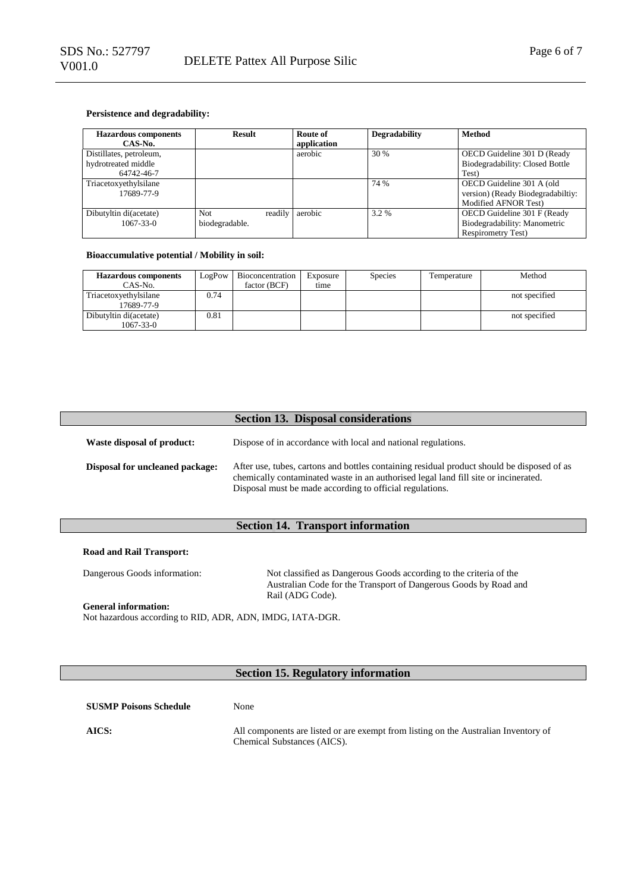#### **Persistence and degradability:**

| <b>Hazardous components</b><br>CAS-No. | Result         |         | Route of<br>application | <b>Degradability</b> | Method                            |
|----------------------------------------|----------------|---------|-------------------------|----------------------|-----------------------------------|
| Distillates, petroleum,                |                |         | aerobic                 | 30 %                 | OECD Guideline 301 D (Ready       |
| hydrotreated middle                    |                |         |                         |                      | Biodegradability: Closed Bottle   |
| 64742-46-7                             |                |         |                         |                      | Test)                             |
| Triacetoxyethylsilane                  |                |         |                         | 74 %                 | OECD Guideline 301 A (old         |
| 17689-77-9                             |                |         |                         |                      | version) (Ready Biodegradabiltiy: |
|                                        |                |         |                         |                      | Modified AFNOR Test)              |
| Dibutyltin di(acetate)                 | Not.           | readily | aerobic                 | 3.2 %                | OECD Guideline 301 F (Ready       |
| $1067 - 33 - 0$                        | biodegradable. |         |                         |                      | Biodegradability: Manometric      |
|                                        |                |         |                         |                      | <b>Respirometry Test)</b>         |

#### **Bioaccumulative potential / Mobility in soil:**

| <b>Hazardous components</b>         | LogPow | Bioconcentration | Exposure | <b>Species</b> | Temperature | Method        |
|-------------------------------------|--------|------------------|----------|----------------|-------------|---------------|
| CAS-No.                             |        | factor (BCF)     | time     |                |             |               |
| Triacetoxyethylsilane<br>17689-77-9 | 0.74   |                  |          |                |             | not specified |
| Dibutyltin di(acetate)<br>1067-33-0 | 0.81   |                  |          |                |             | not specified |

|                                        | <b>Section 13. Disposal considerations</b>                                                                                                                                                                                                    |
|----------------------------------------|-----------------------------------------------------------------------------------------------------------------------------------------------------------------------------------------------------------------------------------------------|
| Waste disposal of product:             | Dispose of in accordance with local and national regulations.                                                                                                                                                                                 |
| <b>Disposal for uncleaned package:</b> | After use, tubes, cartons and bottles containing residual product should be disposed of as<br>chemically contaminated waste in an authorised legal land fill site or incinerated.<br>Disposal must be made according to official regulations. |

### **Section 14. Transport information**

#### **Road and Rail Transport:**

Dangerous Goods information: Not classified as Dangerous Goods according to the criteria of the Australian Code for the Transport of Dangerous Goods by Road and Rail (ADG Code). **General information:**

Not hazardous according to RID, ADR, ADN, IMDG, IATA-DGR.

## **Section 15. Regulatory information**

| <b>SUSMP Poisons Schedule</b> | None                                                                                                               |
|-------------------------------|--------------------------------------------------------------------------------------------------------------------|
| AICS:                         | All components are listed or are exempt from listing on the Australian Inventory of<br>Chemical Substances (AICS). |